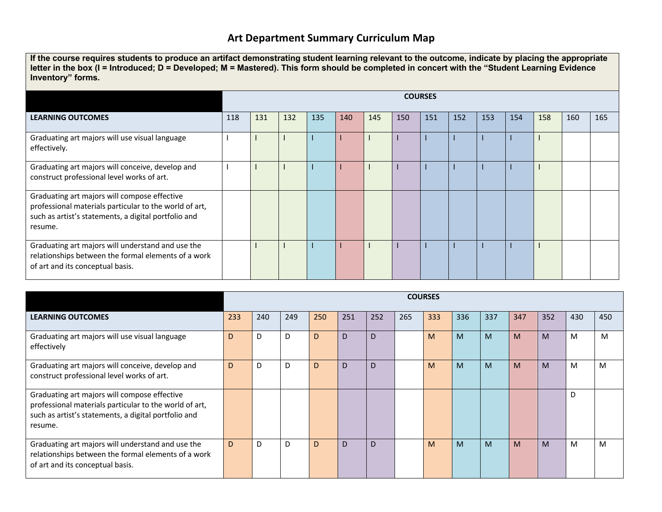## **Art Department Summary Curriculum Map**

**If the course requires students to produce an artifact demonstrating student learning relevant to the outcome, indicate by placing the appropriate letter in the box (I = Introduced; D = Developed; M = Mastered). This form should be completed in concert with the "Student Learning Evidence Inventory" forms.**

|                                                                                                                                                                           | <b>COURSES</b> |     |     |     |     |     |     |     |     |     |     |     |     |     |
|---------------------------------------------------------------------------------------------------------------------------------------------------------------------------|----------------|-----|-----|-----|-----|-----|-----|-----|-----|-----|-----|-----|-----|-----|
| <b>LEARNING OUTCOMES</b>                                                                                                                                                  | 118            | 131 | 132 | 135 | 140 | 145 | 150 | 151 | 152 | 153 | 154 | 158 | 160 | 165 |
| Graduating art majors will use visual language<br>effectively.                                                                                                            |                |     |     |     |     |     |     |     |     |     |     |     |     |     |
| Graduating art majors will conceive, develop and<br>construct professional level works of art.                                                                            |                |     |     |     |     |     |     |     |     |     |     |     |     |     |
| Graduating art majors will compose effective<br>professional materials particular to the world of art,<br>such as artist's statements, a digital portfolio and<br>resume. |                |     |     |     |     |     |     |     |     |     |     |     |     |     |
| Graduating art majors will understand and use the<br>relationships between the formal elements of a work<br>of art and its conceptual basis.                              |                |     |     |     |     |     |     |     |     |     |     |     |     |     |

|                                                                                                                                                                           | <b>COURSES</b> |     |     |     |     |     |     |     |     |     |     |     |     |     |
|---------------------------------------------------------------------------------------------------------------------------------------------------------------------------|----------------|-----|-----|-----|-----|-----|-----|-----|-----|-----|-----|-----|-----|-----|
| <b>LEARNING OUTCOMES</b>                                                                                                                                                  | 233            | 240 | 249 | 250 | 251 | 252 | 265 | 333 | 336 | 337 | 347 | 352 | 430 | 450 |
| Graduating art majors will use visual language<br>effectively                                                                                                             | D              | D   | D   | D   | D   | D   |     | M   | M   | M   | M   | M   | M   | M   |
| Graduating art majors will conceive, develop and<br>construct professional level works of art.                                                                            | D              | D   | D   | D   | D   | D   |     | M   | M   | M   | M   | M   | M   | M   |
| Graduating art majors will compose effective<br>professional materials particular to the world of art,<br>such as artist's statements, a digital portfolio and<br>resume. |                |     |     |     |     |     |     |     |     |     |     |     | D   |     |
| Graduating art majors will understand and use the<br>relationships between the formal elements of a work<br>of art and its conceptual basis.                              | D              | D   | D   | D   | D   | D   |     | M   | M   | M   | M   | M   | M   | M   |